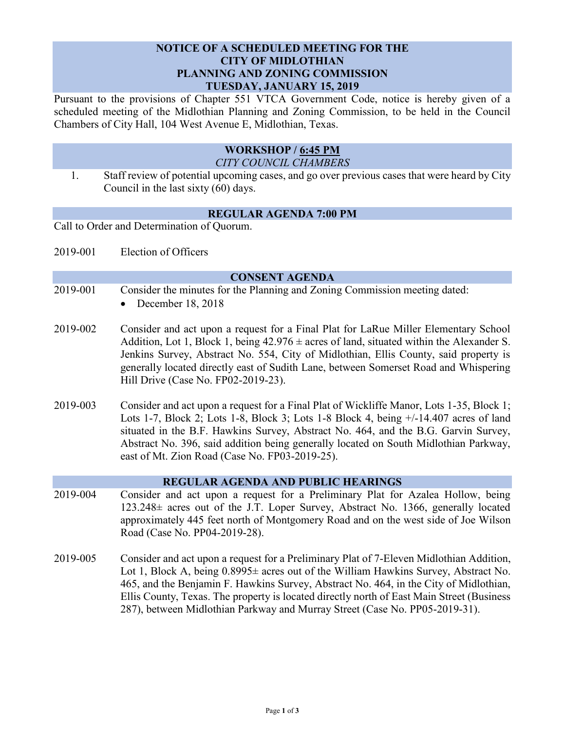# **NOTICE OF A SCHEDULED MEETING FOR THE CITY OF MIDLOTHIAN PLANNING AND ZONING COMMISSION TUESDAY, JANUARY 15, 2019**

Pursuant to the provisions of Chapter 551 VTCA Government Code, notice is hereby given of a scheduled meeting of the Midlothian Planning and Zoning Commission, to be held in the Council Chambers of City Hall, 104 West Avenue E, Midlothian, Texas.

# **WORKSHOP / 6:45 PM** *CITY COUNCIL CHAMBERS*

1. Staff review of potential upcoming cases, and go over previous cases that were heard by City Council in the last sixty (60) days.

# **REGULAR AGENDA 7:00 PM**

Call to Order and Determination of Quorum.

2019-001 Election of Officers

#### **CONSENT AGENDA**

- 2019-001 Consider the minutes for the Planning and Zoning Commission meeting dated: December 18, 2018
- 2019-002 Consider and act upon a request for a Final Plat for LaRue Miller Elementary School Addition, Lot 1, Block 1, being  $42.976 \pm \text{acres}$  of land, situated within the Alexander S. Jenkins Survey, Abstract No. 554, City of Midlothian, Ellis County, said property is generally located directly east of Sudith Lane, between Somerset Road and Whispering Hill Drive (Case No. FP02-2019-23).
- 2019-003 Consider and act upon a request for a Final Plat of Wickliffe Manor, Lots 1-35, Block 1; Lots 1-7, Block 2; Lots 1-8, Block 3; Lots 1-8 Block 4, being +/-14.407 acres of land situated in the B.F. Hawkins Survey, Abstract No. 464, and the B.G. Garvin Survey, Abstract No. 396, said addition being generally located on South Midlothian Parkway, east of Mt. Zion Road (Case No. FP03-2019-25).

# **REGULAR AGENDA AND PUBLIC HEARINGS**

- 2019-004 Consider and act upon a request for a Preliminary Plat for Azalea Hollow, being 123.248± acres out of the J.T. Loper Survey, Abstract No. 1366, generally located approximately 445 feet north of Montgomery Road and on the west side of Joe Wilson Road (Case No. PP04-2019-28).
- 2019-005 Consider and act upon a request for a Preliminary Plat of 7-Eleven Midlothian Addition, Lot 1, Block A, being  $0.8995\pm$  acres out of the William Hawkins Survey, Abstract No. 465, and the Benjamin F. Hawkins Survey, Abstract No. 464, in the City of Midlothian, Ellis County, Texas. The property is located directly north of East Main Street (Business 287), between Midlothian Parkway and Murray Street (Case No. PP05-2019-31).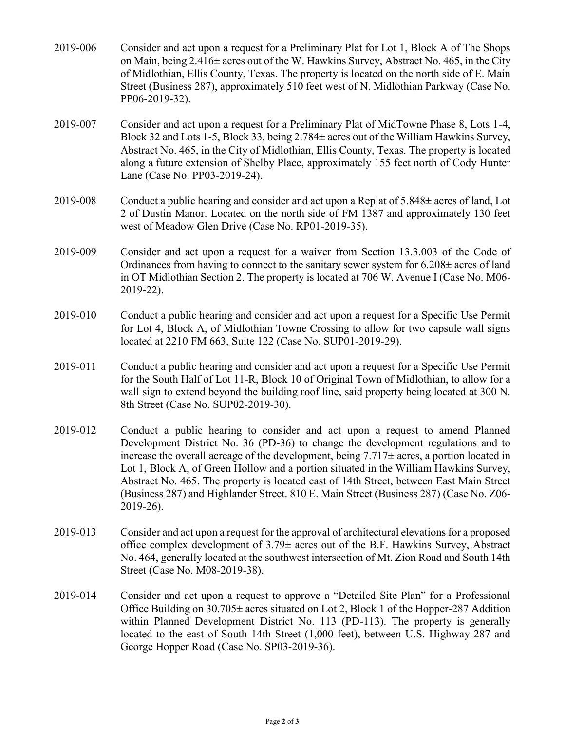- 2019-006 Consider and act upon a request for a Preliminary Plat for Lot 1, Block A of The Shops on Main, being 2.416± acres out of the W. Hawkins Survey, Abstract No. 465, in the City of Midlothian, Ellis County, Texas. The property is located on the north side of E. Main Street (Business 287), approximately 510 feet west of N. Midlothian Parkway (Case No. PP06-2019-32).
- 2019-007 Consider and act upon a request for a Preliminary Plat of MidTowne Phase 8, Lots 1-4, Block 32 and Lots 1-5, Block 33, being 2.784± acres out of the William Hawkins Survey, Abstract No. 465, in the City of Midlothian, Ellis County, Texas. The property is located along a future extension of Shelby Place, approximately 155 feet north of Cody Hunter Lane (Case No. PP03-2019-24).
- 2019-008 Conduct a public hearing and consider and act upon a Replat of  $5.848\pm$  acres of land, Lot 2 of Dustin Manor. Located on the north side of FM 1387 and approximately 130 feet west of Meadow Glen Drive (Case No. RP01-2019-35).
- 2019-009 Consider and act upon a request for a waiver from Section 13.3.003 of the Code of Ordinances from having to connect to the sanitary sewer system for  $6.208\pm$  acres of land in OT Midlothian Section 2. The property is located at 706 W. Avenue I (Case No. M06- 2019-22).
- 2019-010 Conduct a public hearing and consider and act upon a request for a Specific Use Permit for Lot 4, Block A, of Midlothian Towne Crossing to allow for two capsule wall signs located at 2210 FM 663, Suite 122 (Case No. SUP01-2019-29).
- 2019-011 Conduct a public hearing and consider and act upon a request for a Specific Use Permit for the South Half of Lot 11-R, Block 10 of Original Town of Midlothian, to allow for a wall sign to extend beyond the building roof line, said property being located at 300 N. 8th Street (Case No. SUP02-2019-30).
- 2019-012 Conduct a public hearing to consider and act upon a request to amend Planned Development District No. 36 (PD-36) to change the development regulations and to increase the overall acreage of the development, being  $7.717\pm$  acres, a portion located in Lot 1, Block A, of Green Hollow and a portion situated in the William Hawkins Survey, Abstract No. 465. The property is located east of 14th Street, between East Main Street (Business 287) and Highlander Street. 810 E. Main Street (Business 287) (Case No. Z06- 2019-26).
- 2019-013 Consider and act upon a request for the approval of architectural elevations for a proposed office complex development of  $3.79\pm$  acres out of the B.F. Hawkins Survey, Abstract No. 464, generally located at the southwest intersection of Mt. Zion Road and South 14th Street (Case No. M08-2019-38).
- 2019-014 Consider and act upon a request to approve a "Detailed Site Plan" for a Professional Office Building on  $30.705\pm$  acres situated on Lot 2, Block 1 of the Hopper-287 Addition within Planned Development District No. 113 (PD-113). The property is generally located to the east of South 14th Street (1,000 feet), between U.S. Highway 287 and George Hopper Road (Case No. SP03-2019-36).